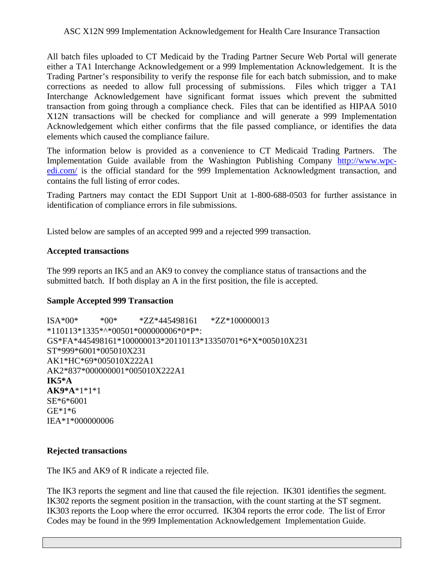All batch files uploaded to CT Medicaid by the Trading Partner Secure Web Portal will generate either a TA1 Interchange Acknowledgement or a 999 Implementation Acknowledgement. It is the Trading Partner's responsibility to verify the response file for each batch submission, and to make corrections as needed to allow full processing of submissions. Files which trigger a TA1 Interchange Acknowledgement have significant format issues which prevent the submitted transaction from going through a compliance check. Files that can be identified as HIPAA 5010 X12N transactions will be checked for compliance and will generate a 999 Implementation Acknowledgement which either confirms that the file passed compliance, or identifies the data elements which caused the compliance failure.

The information below is provided as a convenience to CT Medicaid Trading Partners. The Implementation Guide available from the Washington Publishing Company [http://www.wpc](http://www.wpc-edi.com/)[edi.com/](http://www.wpc-edi.com/) is the official standard for the 999 Implementation Acknowledgment transaction, and contains the full listing of error codes.

Trading Partners may contact the EDI Support Unit at 1-800-688-0503 for further assistance in identification of compliance errors in file submissions.

Listed below are samples of an accepted 999 and a rejected 999 transaction.

# **Accepted transactions**

The 999 reports an IK5 and an AK9 to convey the compliance status of transactions and the submitted batch. If both display an A in the first position, the file is accepted.

# **Sample Accepted 999 Transaction**

ISA\*00\* \*00\* \*ZZ\*445498161 \*ZZ\*100000013 \*110113\*1335\*^\*00501\*000000006\*0\*P\*: GS\*FA\*445498161\*100000013\*20110113\*13350701\*6\*X\*005010X231 ST\*999\*6001\*005010X231 AK1\*HC\*69\*005010X222A1 AK2\*837\*000000001\*005010X222A1 **IK5\*A AK9\*A**\*1\*1\*1 SE\*6\*6001 GE\*1\*6 IEA\*1\*000000006

# **Rejected transactions**

The IK5 and AK9 of R indicate a rejected file.

The IK3 reports the segment and line that caused the file rejection. IK301 identifies the segment. IK302 reports the segment position in the transaction, with the count starting at the ST segment. IK303 reports the Loop where the error occurred. IK304 reports the error code. The list of Error Codes may be found in the 999 Implementation Acknowledgement Implementation Guide.